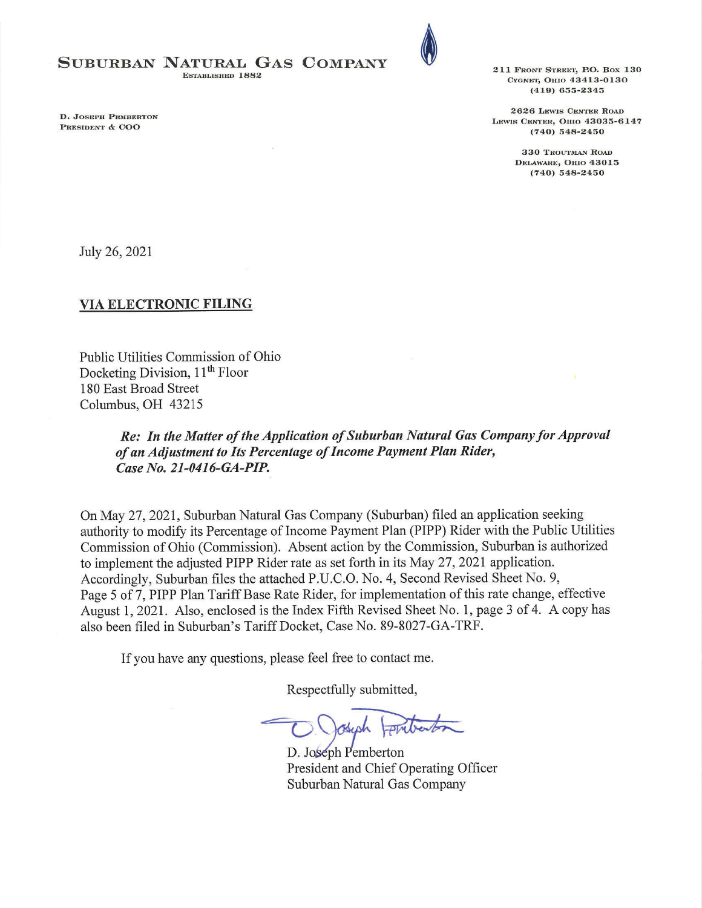## SUBURBAN NATURAL GAS COMPANY

**ESTABLISHED 1882** 

D. JOSEPH PEMBERTON PRESIDENT & COO



211 FRONT STREET, P.O. BOX 130 Стомет, Оню 43413-0130  $(419)$  655-2345

2626 LEWIS CENTER ROAD LEWIS CENTER, OHIO 43035-6147  $(740)$  548-2450

> 330 TROUTMAN ROAD DELAWARE, OHIO 43015  $(740)$  548-2450

July 26, 2021

### **VIA ELECTRONIC FILING**

Public Utilities Commission of Ohio Docketing Division, 11<sup>th</sup> Floor 180 East Broad Street Columbus, OH 43215

> Re: In the Matter of the Application of Suburban Natural Gas Company for Approval of an Adjustment to Its Percentage of Income Payment Plan Rider, Case No. 21-0416-GA-PIP.

On May 27, 2021, Suburban Natural Gas Company (Suburban) filed an application seeking authority to modify its Percentage of Income Payment Plan (PIPP) Rider with the Public Utilities Commission of Ohio (Commission). Absent action by the Commission, Suburban is authorized to implement the adjusted PIPP Rider rate as set forth in its May 27, 2021 application. Accordingly, Suburban files the attached P.U.C.O. No. 4, Second Revised Sheet No. 9, Page 5 of 7, PIPP Plan Tariff Base Rate Rider, for implementation of this rate change, effective August 1, 2021. Also, enclosed is the Index Fifth Revised Sheet No. 1, page 3 of 4. A copy has also been filed in Suburban's Tariff Docket, Case No. 89-8027-GA-TRF.

If you have any questions, please feel free to contact me.

Respectfully submitted,

other

D. Joseph Pemberton President and Chief Operating Officer Suburban Natural Gas Company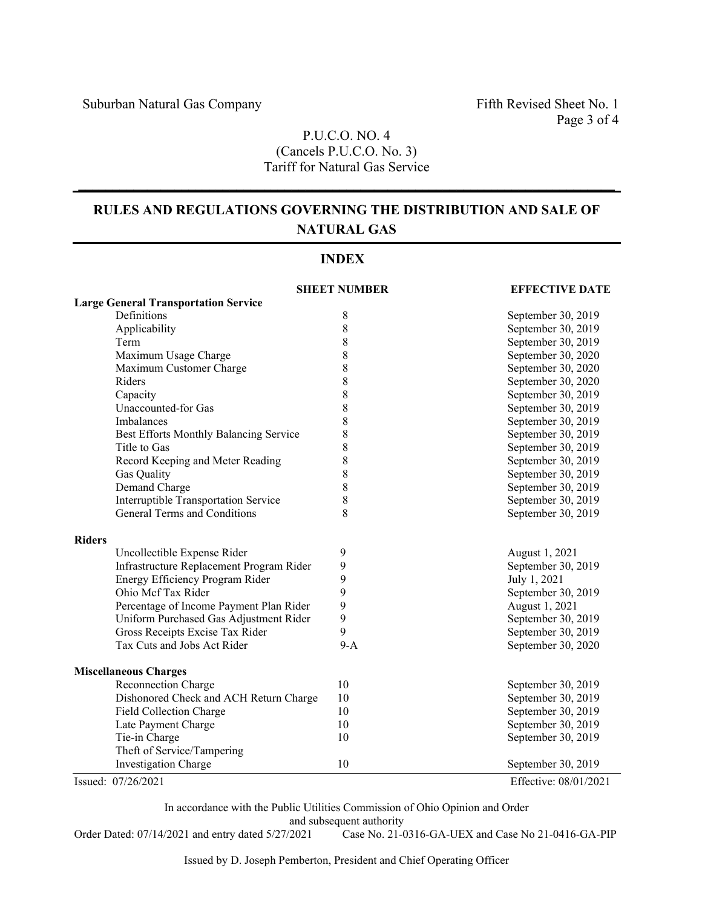## P.U.C.O. NO. 4 (Cancels P.U.C.O. No. 3) Tariff for Natural Gas Service

 $\mathcal{L}_\mathcal{L} = \{ \mathcal{L}_\mathcal{L} = \{ \mathcal{L}_\mathcal{L} = \{ \mathcal{L}_\mathcal{L} = \{ \mathcal{L}_\mathcal{L} = \{ \mathcal{L}_\mathcal{L} = \{ \mathcal{L}_\mathcal{L} = \{ \mathcal{L}_\mathcal{L} = \{ \mathcal{L}_\mathcal{L} = \{ \mathcal{L}_\mathcal{L} = \{ \mathcal{L}_\mathcal{L} = \{ \mathcal{L}_\mathcal{L} = \{ \mathcal{L}_\mathcal{L} = \{ \mathcal{L}_\mathcal{L} = \{ \mathcal{L}_\mathcal{$ 

# **RULES AND REGULATIONS GOVERNING THE DISTRIBUTION AND SALE OF NATURAL GAS**

| <b>INDEX</b>                                |                     |                       |
|---------------------------------------------|---------------------|-----------------------|
|                                             | <b>SHEET NUMBER</b> | <b>EFFECTIVE DATE</b> |
| <b>Large General Transportation Service</b> |                     |                       |
| Definitions                                 | 8                   | September 30, 2019    |
| Applicability                               | 8                   | September 30, 2019    |
| Term                                        | 8                   | September 30, 2019    |
| Maximum Usage Charge                        | $\,$ $\,$           | September 30, 2020    |
| Maximum Customer Charge                     | 8                   | September 30, 2020    |
| Riders                                      | 8                   | September 30, 2020    |
| Capacity                                    | 8                   | September 30, 2019    |
| Unaccounted-for Gas                         | 8                   | September 30, 2019    |
| Imbalances                                  | 8                   | September 30, 2019    |
| Best Efforts Monthly Balancing Service      | 8                   | September 30, 2019    |
| Title to Gas                                | 8                   | September 30, 2019    |
| Record Keeping and Meter Reading            | 8                   | September 30, 2019    |
| Gas Quality                                 | $\,$ $\,$           | September 30, 2019    |
| Demand Charge                               | 8                   | September 30, 2019    |
| Interruptible Transportation Service        | $\,$ $\,$           | September 30, 2019    |
| General Terms and Conditions                | 8                   | September 30, 2019    |
| <b>Riders</b>                               |                     |                       |
| Uncollectible Expense Rider                 | 9                   | August 1, 2021        |
| Infrastructure Replacement Program Rider    | 9                   | September 30, 2019    |
| Energy Efficiency Program Rider             | 9                   | July 1, 2021          |
| Ohio Mcf Tax Rider                          | 9                   | September 30, 2019    |
| Percentage of Income Payment Plan Rider     | 9                   | August 1, 2021        |
| Uniform Purchased Gas Adjustment Rider      | 9                   | September 30, 2019    |
| Gross Receipts Excise Tax Rider             | 9                   | September 30, 2019    |
| Tax Cuts and Jobs Act Rider                 | $9-A$               | September 30, 2020    |
| <b>Miscellaneous Charges</b>                |                     |                       |
| Reconnection Charge                         | 10                  | September 30, 2019    |
| Dishonored Check and ACH Return Charge      | 10                  | September 30, 2019    |
| Field Collection Charge                     | 10                  | September 30, 2019    |
| Late Payment Charge                         | 10                  | September 30, 2019    |
| Tie-in Charge                               | 10                  | September 30, 2019    |
| Theft of Service/Tampering                  |                     |                       |
| Investigation Charge                        | 10                  | September 30, 2019    |
| Issued: 07/26/2021                          |                     | Effective: 08/01/2021 |

In accordance with the Public Utilities Commission of Ohio Opinion and Order and subsequent authority<br>Order Dated: 07/14/2021 and entry dated 5/27/2021 Case No. 21-0

Case No. 21-0316-GA-UEX and Case No 21-0416-GA-PIP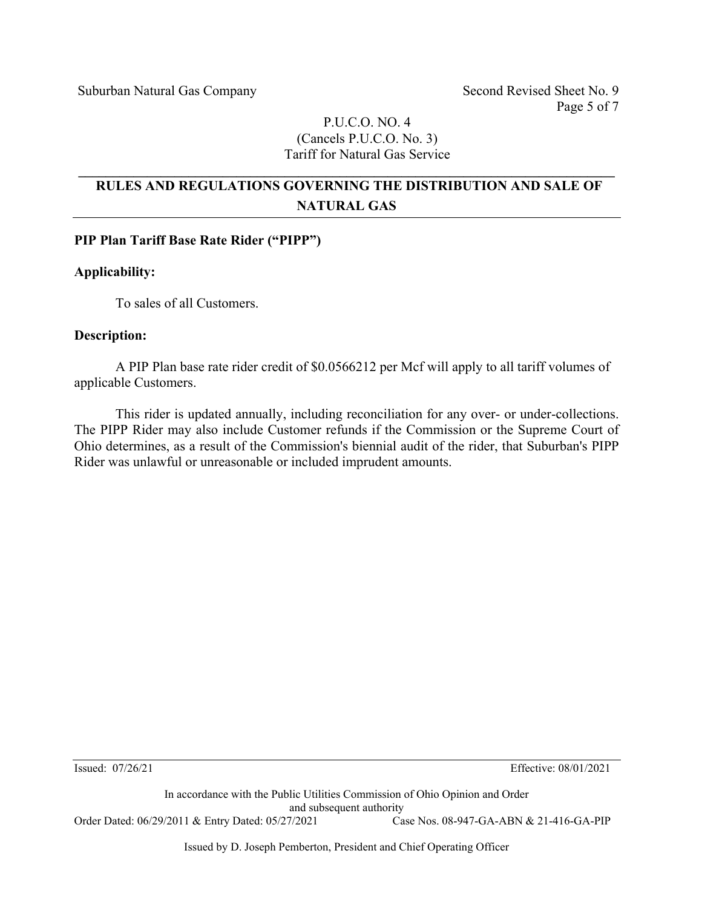Page 5 of 7

## P.U.C.O. NO. 4 (Cancels P.U.C.O. No. 3) Tariff for Natural Gas Service

# **RULES AND REGULATIONS GOVERNING THE DISTRIBUTION AND SALE OF NATURAL GAS**

**\_\_\_\_\_\_\_\_\_\_\_\_\_\_\_\_\_\_\_\_\_\_\_\_\_\_\_\_\_\_\_\_\_\_\_\_\_\_\_\_\_\_\_\_\_\_\_\_\_\_\_\_\_\_\_\_\_\_\_\_\_\_\_\_\_\_\_\_\_\_\_\_\_\_\_\_\_\_** 

### **PIP Plan Tariff Base Rate Rider ("PIPP")**

### **Applicability:**

To sales of all Customers.

### **Description:**

A PIP Plan base rate rider credit of \$0.0566212 per Mcf will apply to all tariff volumes of applicable Customers.

This rider is updated annually, including reconciliation for any over- or under-collections. The PIPP Rider may also include Customer refunds if the Commission or the Supreme Court of Ohio determines, as a result of the Commission's biennial audit of the rider, that Suburban's PIPP Rider was unlawful or unreasonable or included imprudent amounts.

Issued: 07/26/21 Effective: 08/01/2021

In accordance with the Public Utilities Commission of Ohio Opinion and Order and subsequent authority<br>  $7/2021$  Case Nos. 08-947-GA-ABN & 21-416-GA-PIP Order Dated: 06/29/2011 & Entry Dated: 05/27/2021

Issued by D. Joseph Pemberton, President and Chief Operating Officer